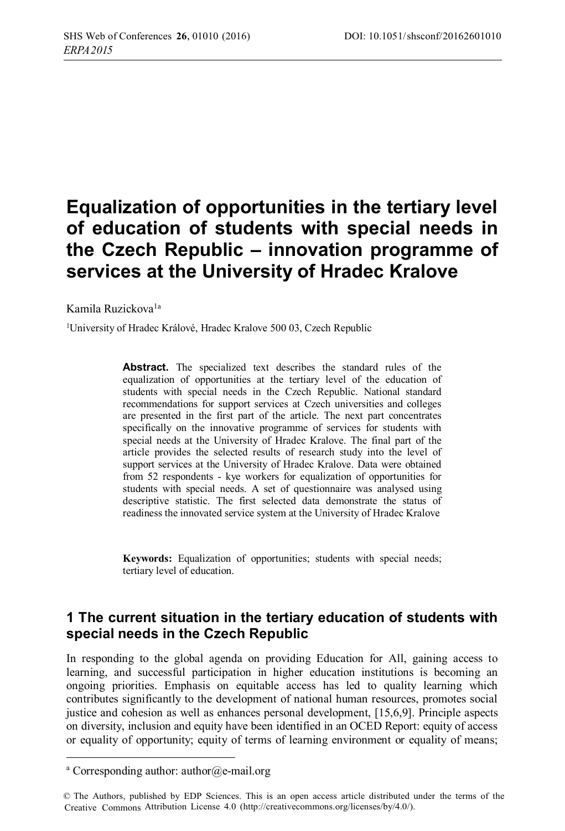# **Equalization of opportunities in the tertiary level of education of students with special needs in the Czech Republic – innovation programme of services at the University of Hradec Kralove**

Kamila Ruzickova<sup>1a</sup>

<sup>1</sup>University of Hradec Králové, Hradec Kralove 500 03, Czech Republic

**Abstract.** The specialized text describes the standard rules of the equalization of opportunities at the tertiary level of the education of students with special needs in the Czech Republic. National standard recommendations for support services at Czech universities and colleges are presented in the first part of the article. The next part concentrates specifically on the innovative programme of services for students with special needs at the University of Hradec Kralove. The final part of the article provides the selected results of research study into the level of support services at the University of Hradec Kralove. Data were obtained from 52 respondents - kye workers for equalization of opportunities for students with special needs. A set of questionnaire was analysed using descriptive statistic. The first selected data demonstrate the status of readiness the innovated service system at the University of Hradec Kralove

**Keywords:** Equalization of opportunities; students with special needs; tertiary level of education.

### **1 The current situation in the tertiary education of students with special needs in the Czech Republic**

In responding to the global agenda on providing Education for All, gaining access to learning, and successful participation in higher education institutions is becoming an ongoing priorities. Emphasis on equitable access has led to quality learning which contributes significantly to the development of national human resources, promotes social justice and cohesion as well as enhances personal development, [15,6,9]. Principle aspects on diversity, inclusion and equity have been identified in an OCED Report: equity of access or equality of opportunity; equity of terms of learning environment or equality of means;

 $\overline{a}$ 

<sup>&</sup>lt;sup>a</sup> Corresponding author: author@e-mail.org

 <sup>©</sup> The Authors, published by EDP Sciences. This is an open access article distributed under the terms of the Creative Commons Attribution License 4.0 ([http://creativecommons.org/licenses/by/4.0/\)](http://creativecommons.org/licenses/by/4.0/).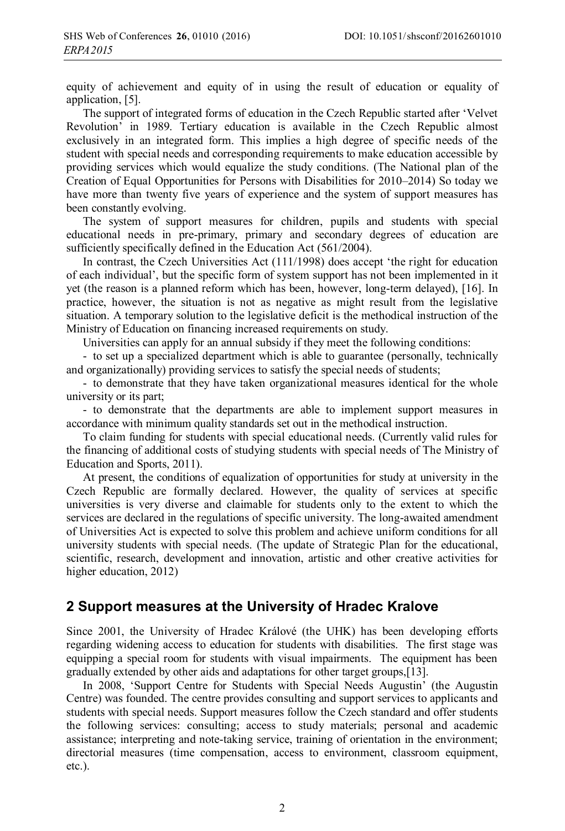equity of achievement and equity of in using the result of education or equality of application, [5].

The support of integrated forms of education in the Czech Republic started after 'Velvet Revolution' in 1989. Tertiary education is available in the Czech Republic almost exclusively in an integrated form. This implies a high degree of specific needs of the student with special needs and corresponding requirements to make education accessible by providing services which would equalize the study conditions. (The National plan of the Creation of Equal Opportunities for Persons with Disabilities for 2010–2014) So today we have more than twenty five years of experience and the system of support measures has been constantly evolving.

The system of support measures for children, pupils and students with special educational needs in pre-primary, primary and secondary degrees of education are sufficiently specifically defined in the Education Act (561/2004).

In contrast, the Czech Universities Act (111/1998) does accept 'the right for education of each individual', but the specific form of system support has not been implemented in it yet (the reason is a planned reform which has been, however, long-term delayed), [16]. In practice, however, the situation is not as negative as might result from the legislative situation. A temporary solution to the legislative deficit is the methodical instruction of the Ministry of Education on financing increased requirements on study.

Universities can apply for an annual subsidy if they meet the following conditions:

- to set up a specialized department which is able to guarantee (personally, technically and organizationally) providing services to satisfy the special needs of students;

- to demonstrate that they have taken organizational measures identical for the whole university or its part;

- to demonstrate that the departments are able to implement support measures in accordance with minimum quality standards set out in the methodical instruction.

To claim funding for students with special educational needs. (Currently valid rules for the financing of additional costs of studying students with special needs of The Ministry of Education and Sports, 2011).

At present, the conditions of equalization of opportunities for study at university in the Czech Republic are formally declared. However, the quality of services at specific universities is very diverse and claimable for students only to the extent to which the services are declared in the regulations of specific university. The long-awaited amendment of Universities Act is expected to solve this problem and achieve uniform conditions for all university students with special needs. (The update of Strategic Plan for the educational, scientific, research, development and innovation, artistic and other creative activities for higher education, 2012)

#### **2 Support measures at the University of Hradec Kralove**

Since 2001, the University of Hradec Králové (the UHK) has been developing efforts regarding widening access to education for students with disabilities. The first stage was equipping a special room for students with visual impairments. The equipment has been gradually extended by other aids and adaptations for other target groups,[13].

In 2008, 'Support Centre for Students with Special Needs Augustin' (the Augustin Centre) was founded. The centre provides consulting and support services to applicants and students with special needs. Support measures follow the Czech standard and offer students the following services: consulting; access to study materials; personal and academic assistance; interpreting and note-taking service, training of orientation in the environment; directorial measures (time compensation, access to environment, classroom equipment, etc.).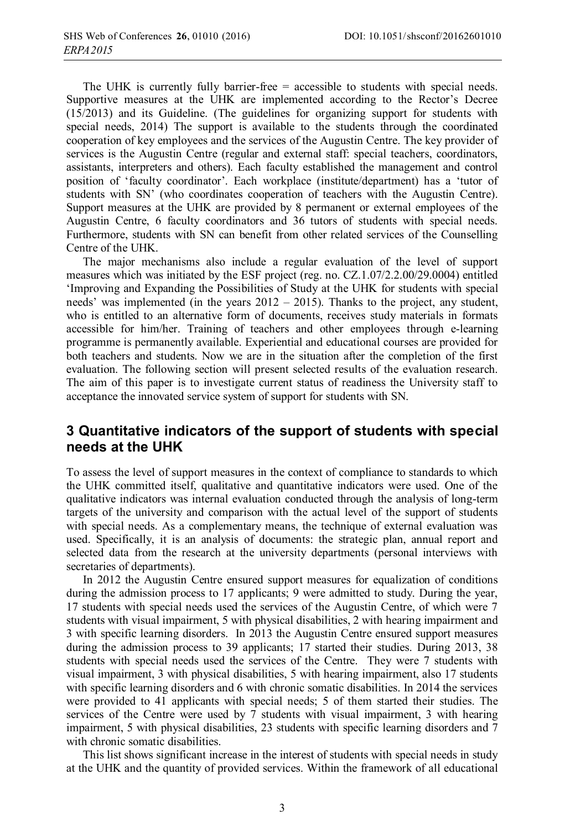The UHK is currently fully barrier-free  $=$  accessible to students with special needs. Supportive measures at the UHK are implemented according to the Rector's Decree (15/2013) and its Guideline. (The guidelines for organizing support for students with special needs, 2014) The support is available to the students through the coordinated cooperation of key employees and the services of the Augustin Centre. The key provider of services is the Augustin Centre (regular and external staff: special teachers, coordinators, assistants, interpreters and others). Each faculty established the management and control position of 'faculty coordinator'. Each workplace (institute/department) has a 'tutor of students with SN' (who coordinates cooperation of teachers with the Augustin Centre). Support measures at the UHK are provided by 8 permanent or external employees of the Augustin Centre, 6 faculty coordinators and 36 tutors of students with special needs. Furthermore, students with SN can benefit from other related services of the Counselling Centre of the UHK.

The major mechanisms also include a regular evaluation of the level of support measures which was initiated by the ESF project (reg. no. CZ.1.07/2.2.00/29.0004) entitled 'Improving and Expanding the Possibilities of Study at the UHK for students with special needs' was implemented (in the years  $2012 - 2015$ ). Thanks to the project, any student, who is entitled to an alternative form of documents, receives study materials in formats accessible for him/her. Training of teachers and other employees through e-learning programme is permanently available. Experiential and educational courses are provided for both teachers and students. Now we are in the situation after the completion of the first evaluation. The following section will present selected results of the evaluation research. The aim of this paper is to investigate current status of readiness the University staff to acceptance the innovated service system of support for students with SN.

#### **3 Quantitative indicators of the support of students with special needs at the UHK**

To assess the level of support measures in the context of compliance to standards to which the UHK committed itself, qualitative and quantitative indicators were used. One of the qualitative indicators was internal evaluation conducted through the analysis of long-term targets of the university and comparison with the actual level of the support of students with special needs. As a complementary means, the technique of external evaluation was used. Specifically, it is an analysis of documents: the strategic plan, annual report and selected data from the research at the university departments (personal interviews with secretaries of departments).

In 2012 the Augustin Centre ensured support measures for equalization of conditions during the admission process to 17 applicants; 9 were admitted to study. During the year, 17 students with special needs used the services of the Augustin Centre, of which were 7 students with visual impairment, 5 with physical disabilities, 2 with hearing impairment and 3 with specific learning disorders. In 2013 the Augustin Centre ensured support measures during the admission process to 39 applicants; 17 started their studies. During 2013, 38 students with special needs used the services of the Centre. They were 7 students with visual impairment, 3 with physical disabilities, 5 with hearing impairment, also 17 students with specific learning disorders and 6 with chronic somatic disabilities. In 2014 the services were provided to 41 applicants with special needs; 5 of them started their studies. The services of the Centre were used by 7 students with visual impairment, 3 with hearing impairment, 5 with physical disabilities, 23 students with specific learning disorders and 7 with chronic somatic disabilities.

This list shows significant increase in the interest of students with special needs in study at the UHK and the quantity of provided services. Within the framework of all educational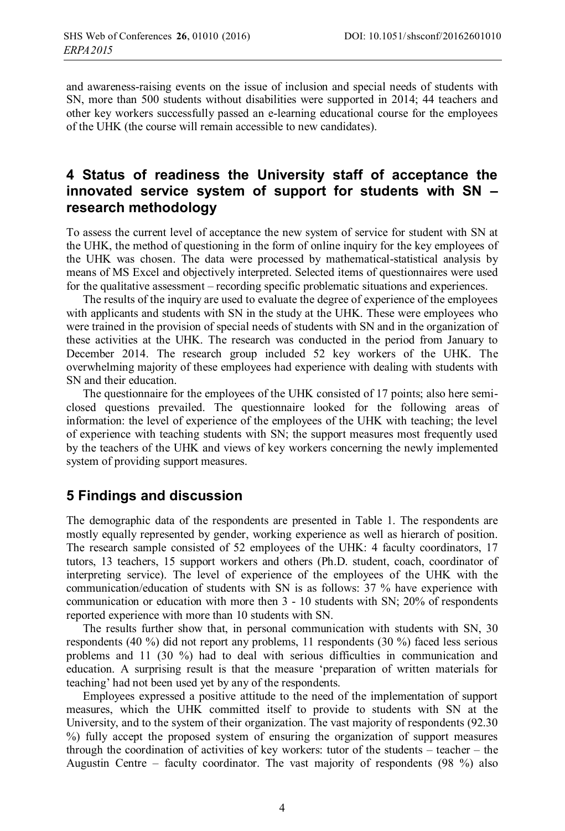and awareness-raising events on the issue of inclusion and special needs of students with SN, more than 500 students without disabilities were supported in 2014; 44 teachers and other key workers successfully passed an e-learning educational course for the employees of the UHK (the course will remain accessible to new candidates).

# **4 Status of readiness the University staff of acceptance the innovated service system of support for students with SN – research methodology**

To assess the current level of acceptance the new system of service for student with SN at the UHK, the method of questioning in the form of online inquiry for the key employees of the UHK was chosen. The data were processed by mathematical-statistical analysis by means of MS Excel and objectively interpreted. Selected items of questionnaires were used for the qualitative assessment – recording specific problematic situations and experiences.

The results of the inquiry are used to evaluate the degree of experience of the employees with applicants and students with SN in the study at the UHK. These were employees who were trained in the provision of special needs of students with SN and in the organization of these activities at the UHK. The research was conducted in the period from January to December 2014. The research group included 52 key workers of the UHK. The overwhelming majority of these employees had experience with dealing with students with SN and their education.

The questionnaire for the employees of the UHK consisted of 17 points; also here semiclosed questions prevailed. The questionnaire looked for the following areas of information: the level of experience of the employees of the UHK with teaching; the level of experience with teaching students with SN; the support measures most frequently used by the teachers of the UHK and views of key workers concerning the newly implemented system of providing support measures.

## **5 Findings and discussion**

The demographic data of the respondents are presented in Table 1. The respondents are mostly equally represented by gender, working experience as well as hierarch of position. The research sample consisted of 52 employees of the UHK: 4 faculty coordinators, 17 tutors, 13 teachers, 15 support workers and others (Ph.D. student, coach, coordinator of interpreting service). The level of experience of the employees of the UHK with the communication/education of students with SN is as follows: 37 % have experience with communication or education with more then 3 - 10 students with SN; 20% of respondents reported experience with more than 10 students with SN.

The results further show that, in personal communication with students with SN, 30 respondents (40 %) did not report any problems, 11 respondents (30 %) faced less serious problems and 11 (30 %) had to deal with serious difficulties in communication and education. A surprising result is that the measure 'preparation of written materials for teaching' had not been used yet by any of the respondents.

Employees expressed a positive attitude to the need of the implementation of support measures, which the UHK committed itself to provide to students with SN at the University, and to the system of their organization. The vast majority of respondents (92.30 %) fully accept the proposed system of ensuring the organization of support measures through the coordination of activities of key workers: tutor of the students – teacher – the Augustin Centre – faculty coordinator. The vast majority of respondents (98 %) also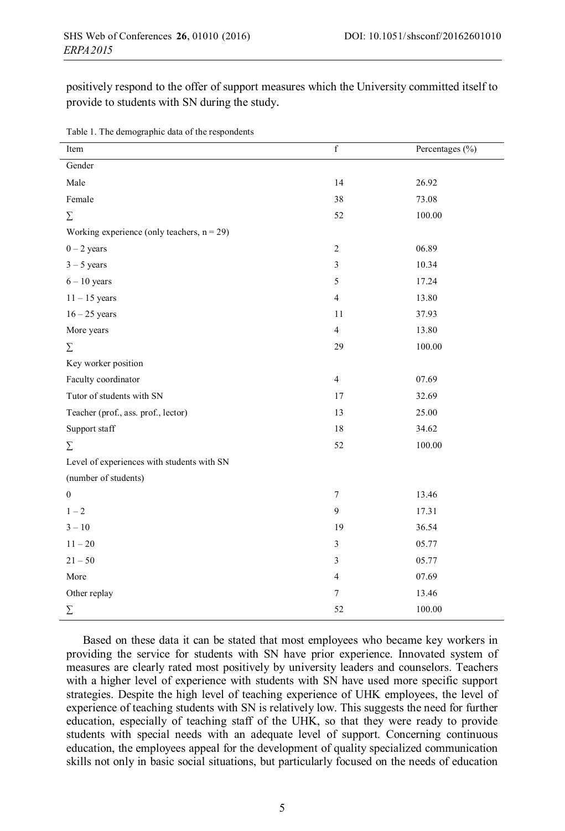positively respond to the offer of support measures which the University committed itself to provide to students with SN during the study.

| rable 1. The demographic data of the respondents |                |                 |
|--------------------------------------------------|----------------|-----------------|
| Item                                             | $\mathbf f$    | Percentages (%) |
| Gender                                           |                |                 |
| Male                                             | 14             | 26.92           |
| Female                                           | 38             | 73.08           |
| $\Sigma$                                         | 52             | 100.00          |
| Working experience (only teachers, $n = 29$ )    |                |                 |
| $0 - 2$ years                                    | $\sqrt{2}$     | 06.89           |
| $3 - 5$ years                                    | $\mathfrak{Z}$ | 10.34           |
| $6 - 10$ years                                   | 5              | 17.24           |
| $11 - 15$ years                                  | $\overline{4}$ | 13.80           |
| $16 - 25$ years                                  | 11             | 37.93           |
| More years                                       | $\overline{4}$ | 13.80           |
| Σ                                                | 29             | 100.00          |
| Key worker position                              |                |                 |
| Faculty coordinator                              | $\overline{4}$ | 07.69           |
| Tutor of students with SN                        | 17             | 32.69           |
| Teacher (prof., ass. prof., lector)              | 13             | 25.00           |
| Support staff                                    | 18             | 34.62           |
| Σ                                                | 52             | 100.00          |
| Level of experiences with students with SN       |                |                 |
| (number of students)                             |                |                 |
| $\mathbf{0}$                                     | $\tau$         | 13.46           |
| $1 - 2$                                          | 9              | 17.31           |
| $3 - 10$                                         | 19             | 36.54           |
| $11 - 20$                                        | $\mathfrak{Z}$ | 05.77           |
| $21 - 50$                                        | 3              | 05.77           |
| More                                             | $\overline{4}$ | 07.69           |
| Other replay                                     | $\tau$         | 13.46           |
| Σ                                                | 52             | 100.00          |

| Table 1. The demographic data of the respondents |  |
|--------------------------------------------------|--|
|--------------------------------------------------|--|

Based on these data it can be stated that most employees who became key workers in providing the service for students with SN have prior experience. Innovated system of measures are clearly rated most positively by university leaders and counselors. Teachers with a higher level of experience with students with SN have used more specific support strategies. Despite the high level of teaching experience of UHK employees, the level of experience of teaching students with SN is relatively low. This suggests the need for further education, especially of teaching staff of the UHK, so that they were ready to provide students with special needs with an adequate level of support. Concerning continuous education, the employees appeal for the development of quality specialized communication skills not only in basic social situations, but particularly focused on the needs of education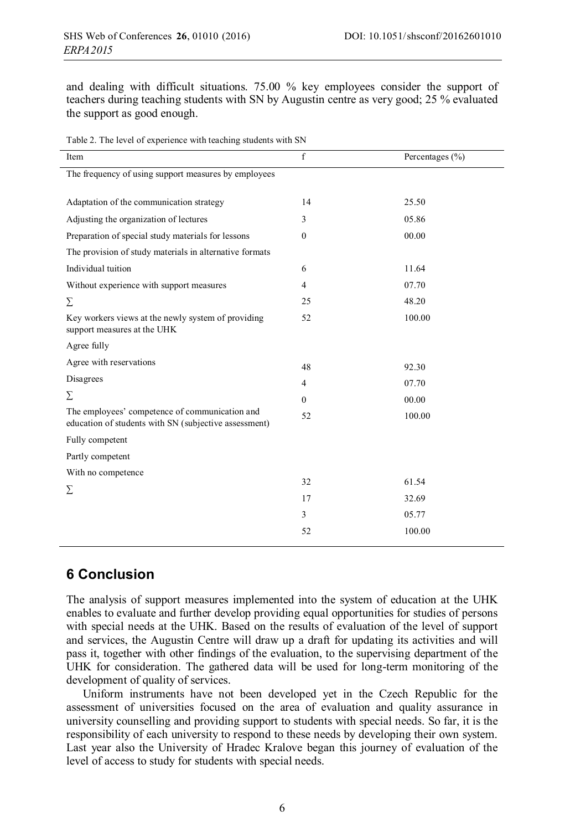and dealing with difficult situations. 75.00 % key employees consider the support of teachers during teaching students with SN by Augustin centre as very good; 25 % evaluated the support as good enough.

|  |  | Table 2. The level of experience with teaching students with SN |  |  |  |
|--|--|-----------------------------------------------------------------|--|--|--|
|  |  |                                                                 |  |  |  |

| Item                                                                                                    | f              | Percentages $(\% )$ |
|---------------------------------------------------------------------------------------------------------|----------------|---------------------|
| The frequency of using support measures by employees                                                    |                |                     |
|                                                                                                         |                |                     |
| Adaptation of the communication strategy                                                                | 14             | 25.50               |
| Adjusting the organization of lectures                                                                  | 3              | 05.86               |
| Preparation of special study materials for lessons                                                      | $\theta$       | 00.00               |
| The provision of study materials in alternative formats                                                 |                |                     |
| Individual tuition                                                                                      | 6              | 11.64               |
| Without experience with support measures                                                                | $\overline{4}$ | 07.70               |
| Σ                                                                                                       | 25             | 48.20               |
| Key workers views at the newly system of providing<br>support measures at the UHK                       | 52             | 100.00              |
| Agree fully                                                                                             |                |                     |
| Agree with reservations                                                                                 | 48             | 92.30               |
| Disagrees                                                                                               | $\overline{4}$ | 07.70               |
| Σ                                                                                                       | $\Omega$       | 00.00               |
| The employees' competence of communication and<br>education of students with SN (subjective assessment) | 52             | 100.00              |
| Fully competent                                                                                         |                |                     |
| Partly competent                                                                                        |                |                     |
| With no competence                                                                                      |                |                     |
| Σ                                                                                                       | 32             | 61.54               |
|                                                                                                         | 17             | 32.69               |
|                                                                                                         | 3              | 05.77               |
|                                                                                                         | 52             | 100.00              |
|                                                                                                         |                |                     |

## **6 Conclusion**

The analysis of support measures implemented into the system of education at the UHK enables to evaluate and further develop providing equal opportunities for studies of persons with special needs at the UHK. Based on the results of evaluation of the level of support and services, the Augustin Centre will draw up a draft for updating its activities and will pass it, together with other findings of the evaluation, to the supervising department of the UHK for consideration. The gathered data will be used for long-term monitoring of the development of quality of services.

Uniform instruments have not been developed yet in the Czech Republic for the assessment of universities focused on the area of evaluation and quality assurance in university counselling and providing support to students with special needs. So far, it is the responsibility of each university to respond to these needs by developing their own system. Last year also the University of Hradec Kralove began this journey of evaluation of the level of access to study for students with special needs.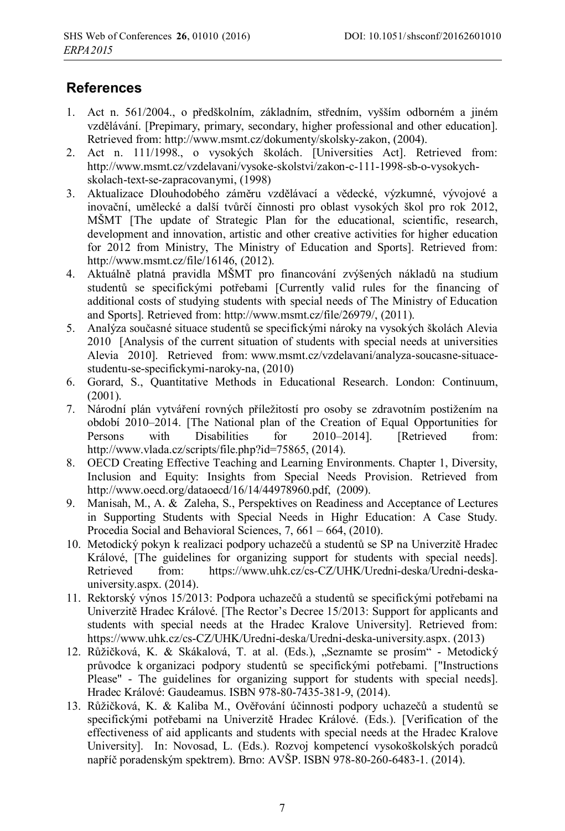# **References**

- 1. Act n. 561/2004., o předškolním, základním, středním, vyšším odborném a jiném vzdělávání. [Prepimary, primary, secondary, higher professional and other education]. Retrieved from: http://www.msmt.cz/dokumenty/skolsky-zakon, (2004).
- 2. Act n. 111/1998., o vysokých školách. [Universities Act]. Retrieved from: http://www.msmt.cz/vzdelavani/vysoke-skolstvi/zakon-c-111-1998-sb-o-vysokychskolach-text-se-zapracovanymi, (1998)
- 3. Aktualizace Dlouhodobého záměru vzdělávací a vědecké, výzkumné, vývojové a inovační, umělecké a další tvůrčí činnosti pro oblast vysokých škol pro rok 2012, MŠMT [The update of Strategic Plan for the educational, scientific, research, development and innovation, artistic and other creative activities for higher education for 2012 from Ministry, The Ministry of Education and Sports]. Retrieved from: http://www.msmt.cz/file/16146, (2012).
- 4. Aktuálně platná pravidla MŠMT pro financování zvýšených nákladů na studium studentů se specifickými potřebami [Currently valid rules for the financing of additional costs of studying students with special needs of The Ministry of Education and Sports]. Retrieved from: http://www.msmt.cz/file/26979/, (2011).
- 5. Analýza současné situace studentů se specifickými nároky na vysokých školách Alevia 2010 [Analysis of the current situation of students with special needs at universities Alevia 2010]. Retrieved from: www.msmt.cz/vzdelavani/analyza-soucasne-situacestudentu-se-specifickymi-naroky-na, (2010)
- 6. Gorard, S., Quantitative Methods in Educational Research. London: Continuum, (2001).
- 7. Národní plán vytváření rovných příležitostí pro osoby se zdravotním postižením na období 2010–2014. [The National plan of the Creation of Equal Opportunities for Persons with Disabilities for 2010–2014]. [Retrieved from: http://www.vlada.cz/scripts/file.php?id=75865, (2014).
- 8. OECD Creating Effective Teaching and Learning Environments. Chapter 1, Diversity, Inclusion and Equity: Insights from Special Needs Provision. Retrieved from http://www.oecd.org/dataoecd/16/14/44978960.pdf, (2009).
- 9. Manisah, M., A. & Zaleha, S., Perspektives on Readiness and Acceptance of Lectures in Supporting Students with Special Needs in Highr Education: A Case Study. Procedia Social and Behavioral Sciences, 7, 661 – 664, (2010).
- 10. Metodický pokyn k realizaci podpory uchazečů a studentů se SP na Univerzitě Hradec Králové, [The guidelines for organizing support for students with special needs]. Retrieved from: https://www.uhk.cz/cs-CZ/UHK/Uredni-deska/Uredni-deskauniversity.aspx. (2014).
- 11. Rektorský výnos 15/2013: Podpora uchazečů a studentů se specifickými potřebami na Univerzitě Hradec Králové. [The Rector's Decree 15/2013: Support for applicants and students with special needs at the Hradec Kralove University]. Retrieved from: https://www.uhk.cz/cs-CZ/UHK/Uredni-deska/Uredni-deska-university.aspx. (2013)
- 12. Růžičková, K. & Skákalová, T. at al. (Eds.), "Seznamte se prosím" Metodický průvodce k organizaci podpory studentů se specifickými potřebami. ["Instructions Please" - The guidelines for organizing support for students with special needs]. Hradec Králové: Gaudeamus. ISBN 978-80-7435-381-9, (2014).
- 13. Růžičková, K. & Kaliba M., Ověřování účinnosti podpory uchazečů a studentů se specifickými potřebami na Univerzitě Hradec Králové. (Eds.). [Verification of the effectiveness of aid applicants and students with special needs at the Hradec Kralove University]. In: Novosad, L. (Eds.). Rozvoj kompetencí vysokoškolských poradců napříč poradenským spektrem). Brno: AVŠP. ISBN 978-80-260-6483-1. (2014).